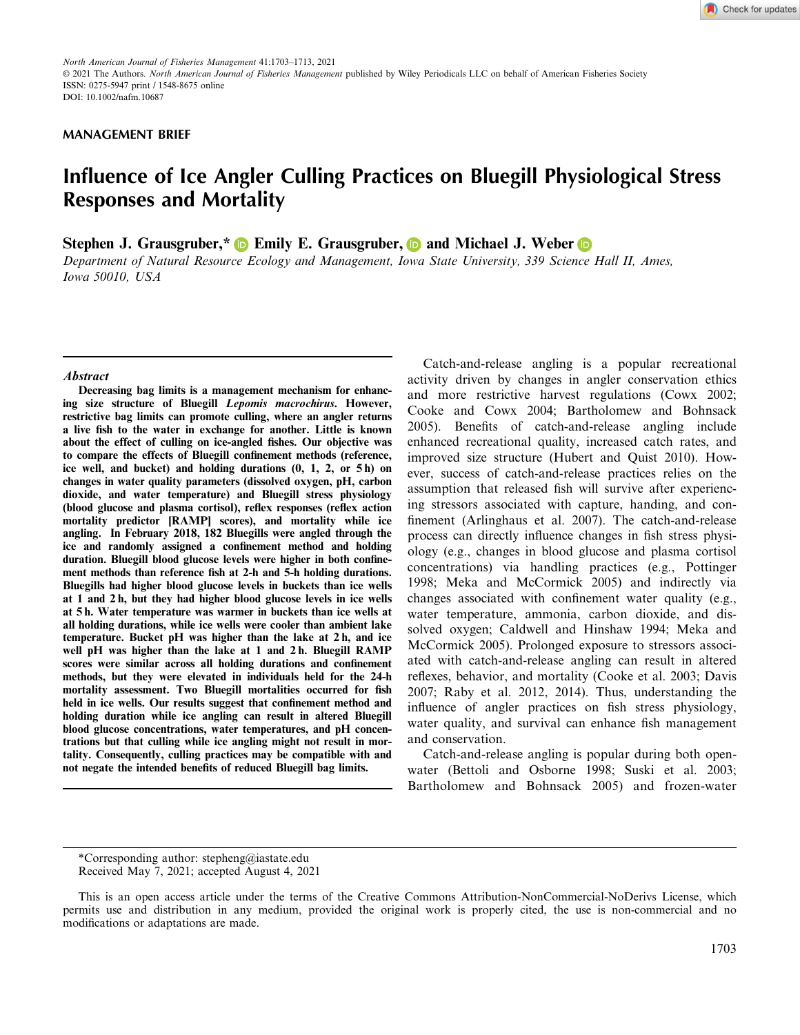## **MANAGEMENT BRIEF**

# **Influence of Ice Angler Culling Practices on Bluegill Physiological Stress Responses and Mortality**

**Stephen J. Grausgruber,\* D** Emily E. Grausgruber, **D** and Michael J. Weber **D** 

*Department of Natural Resource Ecology and Management, Iowa State University, 339 Science Hall II, Ames, Iowa 50010, USA*

#### **Abstract**

**Decreasing bag limits is a management mechanism for enhancing size structure of Bluegill Lepomis macrochirus. However, restrictive bag limits can promote culling, where an angler returns a live fish to the water in exchange for another. Little is known about the effect of culling on ice-angled fishes. Our objective was to compare the effects of Bluegill confinement methods (reference, ice well, and bucket) and holding durations (0, 1, 2, or 5 h) on changes in water quality parameters (dissolved oxygen, pH, carbon dioxide, and water temperature) and Bluegill stress physiology (blood glucose and plasma cortisol), reflex responses (reflex action mortality predictor [RAMP] scores), and mortality while ice angling. In February 2018, 182 Bluegills were angled through the** ice and randomly assigned a confinement method and holding duration. Bluegill blood glucose levels were higher in both confine**ment methods than reference fish at 2-h and 5-h holding durations. Bluegills had higher blood glucose levels in buckets than ice wells at 1 and 2 h, but they had higher blood glucose levels in ice wells at 5 h. Water temperature was warmer in buckets than ice wells at all holding durations, while ice wells were cooler than ambient lake temperature. Bucket pH was higher than the lake at 2 h, and ice well pH was higher than the lake at 1 and 2 h. Bluegill RAMP scores were similar across all holding durations and confinement methods, but they were elevated in individuals held for the 24-h mortality assessment. Two Bluegill mortalities occurred for fish** held in ice wells. Our results suggest that confinement method and **holding duration while ice angling can result in altered Bluegill blood glucose concentrations, water temperatures, and pH concentrations but that culling while ice angling might not result in mortality. Consequently, culling practices may be compatible with and not negate the intended benefits of reduced Bluegill bag limits.**

Catch-and-release angling is a popular recreational activity driven by changes in angler conservation ethics and more restrictive harvest regulations (Cowx 2002; Cooke and Cowx 2004; Bartholomew and Bohnsack 2005). Benefits of catch-and-release angling include enhanced recreational quality, increased catch rates, and improved size structure (Hubert and Quist 2010). However, success of catch-and-release practices relies on the assumption that released fish will survive after experiencing stressors associated with capture, handing, and confinement (Arlinghaus et al. 2007). The catch-and-release process can directly influence changes in fish stress physiology (e.g., changes in blood glucose and plasma cortisol concentrations) via handling practices (e.g., Pottinger 1998; Meka and McCormick 2005) and indirectly via changes associated with confinement water quality (e.g., water temperature, ammonia, carbon dioxide, and dissolved oxygen; Caldwell and Hinshaw 1994; Meka and McCormick 2005). Prolonged exposure to stressors associated with catch-and-release angling can result in altered reflexes, behavior, and mortality (Cooke et al. 2003; Davis 2007; Raby et al. 2012, 2014). Thus, understanding the influence of angler practices on fish stress physiology, water quality, and survival can enhance fish management and conservation.

Catch-and-release angling is popular during both openwater (Bettoli and Osborne 1998; Suski et al. 2003; Bartholomew and Bohnsack 2005) and frozen-water

<sup>\*</sup>Corresponding author: [stepheng@iastate.edu](mailto:)

Received May 7, 2021; accepted August 4, 2021

This is an open access article under the terms of the [Creative Commons Attribution-NonCommercial-NoDerivs](http://creativecommons.org/licenses/by-nc-nd/4.0/) License, which permits use and distribution in any medium, provided the original work is properly cited, the use is non-commercial and no modifications or adaptations are made.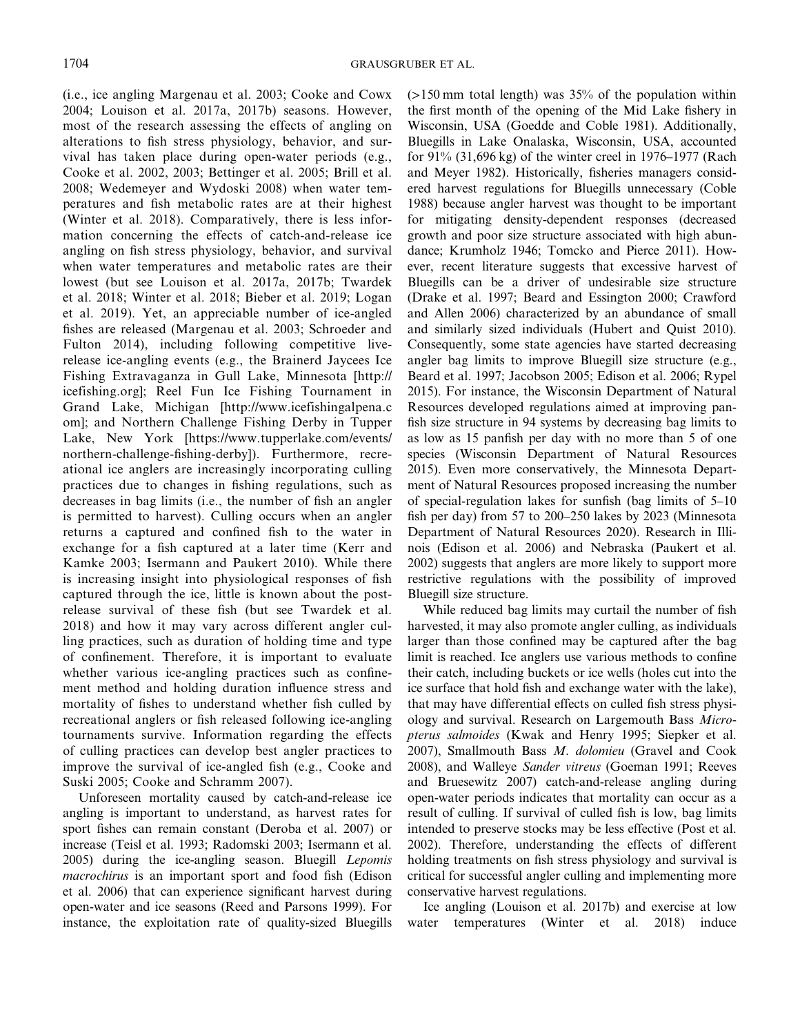(i.e., ice angling Margenau et al. 2003; Cooke and Cowx 2004; Louison et al. 2017a, 2017b) seasons. However, most of the research assessing the effects of angling on alterations to fish stress physiology, behavior, and survival has taken place during open-water periods (e.g., Cooke et al. 2002, 2003; Bettinger et al. 2005; Brill et al. 2008; Wedemeyer and Wydoski 2008) when water temperatures and fish metabolic rates are at their highest (Winter et al. 2018). Comparatively, there is less information concerning the effects of catch-and-release ice angling on fish stress physiology, behavior, and survival when water temperatures and metabolic rates are their lowest (but see Louison et al. 2017a, 2017b; Twardek et al. 2018; Winter et al. 2018; Bieber et al. 2019; Logan et al. 2019). Yet, an appreciable number of ice-angled fishes are released (Margenau et al. 2003; Schroeder and Fulton 2014), including following competitive liverelease ice-angling events (e.g., the Brainerd Jaycees Ice Fishing Extravaganza in Gull Lake, Minnesota [\[http://]([http://icefishing.org];) [icefishing.org\];]([http://icefishing.org];) Reel Fun Ice Fishing Tournament in Grand Lake, Michigan [\[http://www.icefishingalpena.c]([http://www.icefishingalpena.com];) [om\];]([http://www.icefishingalpena.com];) and Northern Challenge Fishing Derby in Tupper Lake, New York [\[https://www.tupperlake.com/events/]([https://www.tupperlake.com/events/northern-challenge-fishing-derby]) [northern-challenge-]([https://www.tupperlake.com/events/northern-challenge-fishing-derby])fishing-derby]). Furthermore, recreational ice anglers are increasingly incorporating culling practices due to changes in fishing regulations, such as decreases in bag limits (i.e., the number of fish an angler is permitted to harvest). Culling occurs when an angler returns a captured and confined fish to the water in exchange for a fish captured at a later time (Kerr and Kamke 2003; Isermann and Paukert 2010). While there is increasing insight into physiological responses of fish captured through the ice, little is known about the postrelease survival of these fish (but see Twardek et al. 2018) and how it may vary across different angler culling practices, such as duration of holding time and type of confinement. Therefore, it is important to evaluate whether various ice-angling practices such as confinement method and holding duration influence stress and mortality of fishes to understand whether fish culled by recreational anglers or fish released following ice-angling tournaments survive. Information regarding the effects of culling practices can develop best angler practices to improve the survival of ice-angled fish (e.g., Cooke and Suski 2005; Cooke and Schramm 2007).

Unforeseen mortality caused by catch-and-release ice angling is important to understand, as harvest rates for sport fishes can remain constant (Deroba et al. 2007) or increase (Teisl et al. 1993; Radomski 2003; Isermann et al. 2005) during the ice-angling season. Bluegill *Lepomis macrochirus* is an important sport and food fish (Edison et al. 2006) that can experience significant harvest during open-water and ice seasons (Reed and Parsons 1999). For instance, the exploitation rate of quality-sized Bluegills  $(>150 \text{ mm}$  total length) was 35% of the population within the first month of the opening of the Mid Lake fishery in Wisconsin, USA (Goedde and Coble 1981). Additionally, Bluegills in Lake Onalaska, Wisconsin, USA, accounted for 91% (31,696 kg) of the winter creel in 1976–1977 (Rach and Meyer 1982). Historically, fisheries managers considered harvest regulations for Bluegills unnecessary (Coble 1988) because angler harvest was thought to be important for mitigating density-dependent responses (decreased growth and poor size structure associated with high abundance; Krumholz 1946; Tomcko and Pierce 2011). However, recent literature suggests that excessive harvest of Bluegills can be a driver of undesirable size structure (Drake et al. 1997; Beard and Essington 2000; Crawford and Allen 2006) characterized by an abundance of small and similarly sized individuals (Hubert and Quist 2010). Consequently, some state agencies have started decreasing angler bag limits to improve Bluegill size structure (e.g., Beard et al. 1997; Jacobson 2005; Edison et al. 2006; Rypel 2015). For instance, the Wisconsin Department of Natural Resources developed regulations aimed at improving panfish size structure in 94 systems by decreasing bag limits to as low as 15 panfish per day with no more than 5 of one species (Wisconsin Department of Natural Resources 2015). Even more conservatively, the Minnesota Department of Natural Resources proposed increasing the number of special-regulation lakes for sunfish (bag limits of 5–10 fish per day) from 57 to 200–250 lakes by 2023 (Minnesota Department of Natural Resources 2020). Research in Illinois (Edison et al. 2006) and Nebraska (Paukert et al. 2002) suggests that anglers are more likely to support more restrictive regulations with the possibility of improved Bluegill size structure.

While reduced bag limits may curtail the number of fish harvested, it may also promote angler culling, as individuals larger than those confined may be captured after the bag limit is reached. Ice anglers use various methods to confine their catch, including buckets or ice wells (holes cut into the ice surface that hold fish and exchange water with the lake), that may have differential effects on culled fish stress physiology and survival. Research on Largemouth Bass *Micropterus salmoides* (Kwak and Henry 1995; Siepker et al. 2007), Smallmouth Bass *M*. *dolomieu* (Gravel and Cook 2008), and Walleye *Sander vitreus* (Goeman 1991; Reeves and Bruesewitz 2007) catch-and-release angling during open-water periods indicates that mortality can occur as a result of culling. If survival of culled fish is low, bag limits intended to preserve stocks may be less effective (Post et al. 2002). Therefore, understanding the effects of different holding treatments on fish stress physiology and survival is critical for successful angler culling and implementing more conservative harvest regulations.

Ice angling (Louison et al. 2017b) and exercise at low water temperatures (Winter et al. 2018) induce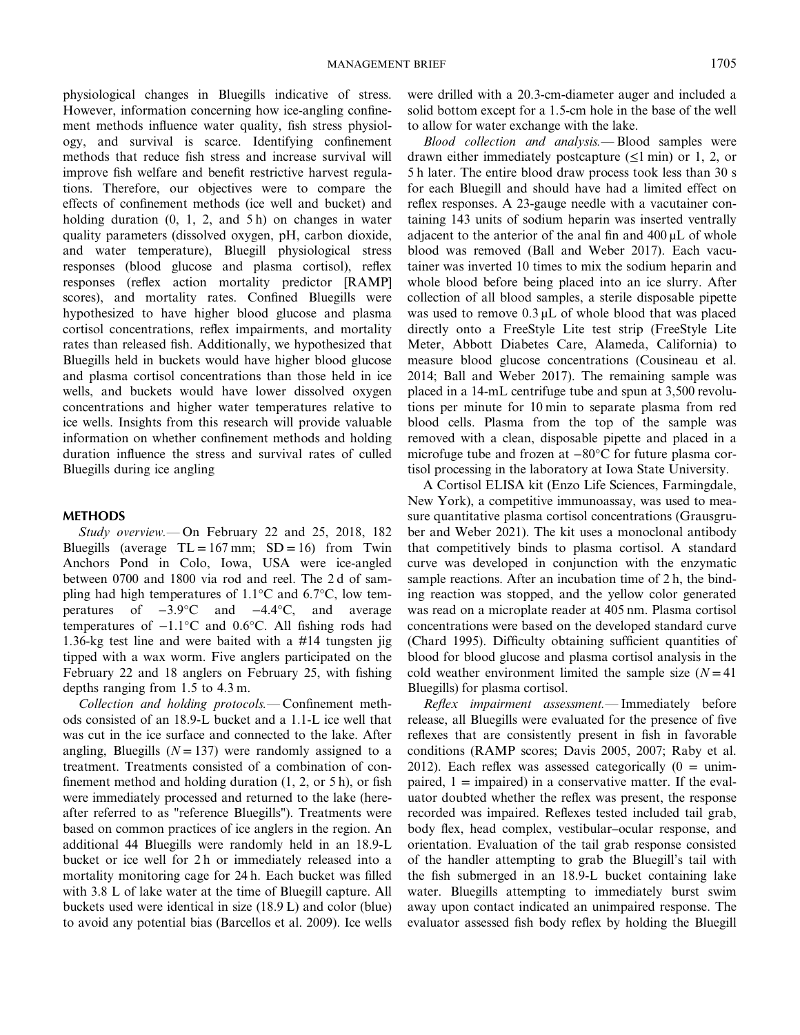physiological changes in Bluegills indicative of stress. However, information concerning how ice-angling confinement methods influence water quality, fish stress physiology, and survival is scarce. Identifying confinement methods that reduce fish stress and increase survival will improve fish welfare and benefit restrictive harvest regulations. Therefore, our objectives were to compare the effects of confinement methods (ice well and bucket) and holding duration  $(0, 1, 2, \text{ and } 5 \text{ h})$  on changes in water quality parameters (dissolved oxygen, pH, carbon dioxide, and water temperature), Bluegill physiological stress responses (blood glucose and plasma cortisol), reflex responses (reflex action mortality predictor [RAMP] scores), and mortality rates. Confined Bluegills were hypothesized to have higher blood glucose and plasma cortisol concentrations, reflex impairments, and mortality rates than released fish. Additionally, we hypothesized that Bluegills held in buckets would have higher blood glucose and plasma cortisol concentrations than those held in ice wells, and buckets would have lower dissolved oxygen concentrations and higher water temperatures relative to ice wells. Insights from this research will provide valuable information on whether confinement methods and holding duration influence the stress and survival rates of culled Bluegills during ice angling

#### **METHODS**

*Study overview.—* On February 22 and 25, 2018, 182 Bluegills (average  $TL = 167$  mm;  $SD = 16$ ) from Twin Anchors Pond in Colo, Iowa, USA were ice-angled between 0700 and 1800 via rod and reel. The 2 d of sampling had high temperatures of 1.1°C and 6.7°C, low temperatures of −3.9°C and −4.4°C, and average temperatures of −1.1°C and 0.6°C. All fishing rods had 1.36-kg test line and were baited with a #14 tungsten jig tipped with a wax worm. Five anglers participated on the February 22 and 18 anglers on February 25, with fishing depths ranging from 1.5 to 4.3 m.

*Collection and holding protocols.—* Confinement methods consisted of an 18.9-L bucket and a 1.1-L ice well that was cut in the ice surface and connected to the lake. After angling, Bluegills  $(N = 137)$  were randomly assigned to a treatment. Treatments consisted of a combination of confinement method and holding duration (1, 2, or 5 h), or fish were immediately processed and returned to the lake (hereafter referred to as "reference Bluegills"). Treatments were based on common practices of ice anglers in the region. An additional 44 Bluegills were randomly held in an 18.9-L bucket or ice well for 2 h or immediately released into a mortality monitoring cage for 24 h. Each bucket was filled with 3.8 L of lake water at the time of Bluegill capture. All buckets used were identical in size (18.9 L) and color (blue) to avoid any potential bias (Barcellos et al. 2009). Ice wells were drilled with a 20.3-cm-diameter auger and included a solid bottom except for a 1.5-cm hole in the base of the well to allow for water exchange with the lake.

*Blood collection and analysis.—* Blood samples were drawn either immediately postcapture  $(\leq 1 \text{ min})$  or 1, 2, or 5 h later. The entire blood draw process took less than 30 s for each Bluegill and should have had a limited effect on reflex responses. A 23-gauge needle with a vacutainer containing 143 units of sodium heparin was inserted ventrally adjacent to the anterior of the anal fin and  $400 \mu L$  of whole blood was removed (Ball and Weber 2017). Each vacutainer was inverted 10 times to mix the sodium heparin and whole blood before being placed into an ice slurry. After collection of all blood samples, a sterile disposable pipette was used to remove  $0.3 \mu$ . The blood that was placed directly onto a FreeStyle Lite test strip (FreeStyle Lite Meter, Abbott Diabetes Care, Alameda, California) to measure blood glucose concentrations (Cousineau et al. 2014; Ball and Weber 2017). The remaining sample was placed in a 14-mL centrifuge tube and spun at 3,500 revolutions per minute for 10 min to separate plasma from red blood cells. Plasma from the top of the sample was removed with a clean, disposable pipette and placed in a microfuge tube and frozen at −80°C for future plasma cortisol processing in the laboratory at Iowa State University.

A Cortisol ELISA kit (Enzo Life Sciences, Farmingdale, New York), a competitive immunoassay, was used to measure quantitative plasma cortisol concentrations (Grausgruber and Weber 2021). The kit uses a monoclonal antibody that competitively binds to plasma cortisol. A standard curve was developed in conjunction with the enzymatic sample reactions. After an incubation time of 2 h, the binding reaction was stopped, and the yellow color generated was read on a microplate reader at 405 nm. Plasma cortisol concentrations were based on the developed standard curve (Chard 1995). Difficulty obtaining sufficient quantities of blood for blood glucose and plasma cortisol analysis in the cold weather environment limited the sample size  $(N = 41)$ Bluegills) for plasma cortisol.

*Reflex impairment assessment.—* Immediately before release, all Bluegills were evaluated for the presence of five reflexes that are consistently present in fish in favorable conditions (RAMP scores; Davis 2005, 2007; Raby et al. 2012). Each reflex was assessed categorically  $(0 = \text{unim} - \text{unim} - \text{im} - \text{im} - \text{im} - \text{im} - \text{im} - \text{im} - \text{im} - \text{im} - \text{im} - \text{im} - \text{im} - \text{im} - \text{im} - \text{im} - \text{im} - \text{im} - \text{im} - \text{im} - \text{im} - \text{im} - \text{im} - \text{im} - \text{im} - \text{im} - \text{im} - \text{im} - \$ paired,  $1 =$  impaired) in a conservative matter. If the evaluator doubted whether the reflex was present, the response recorded was impaired. Reflexes tested included tail grab, body flex, head complex, vestibular–ocular response, and orientation. Evaluation of the tail grab response consisted of the handler attempting to grab the Bluegill's tail with the fish submerged in an 18.9-L bucket containing lake water. Bluegills attempting to immediately burst swim away upon contact indicated an unimpaired response. The evaluator assessed fish body reflex by holding the Bluegill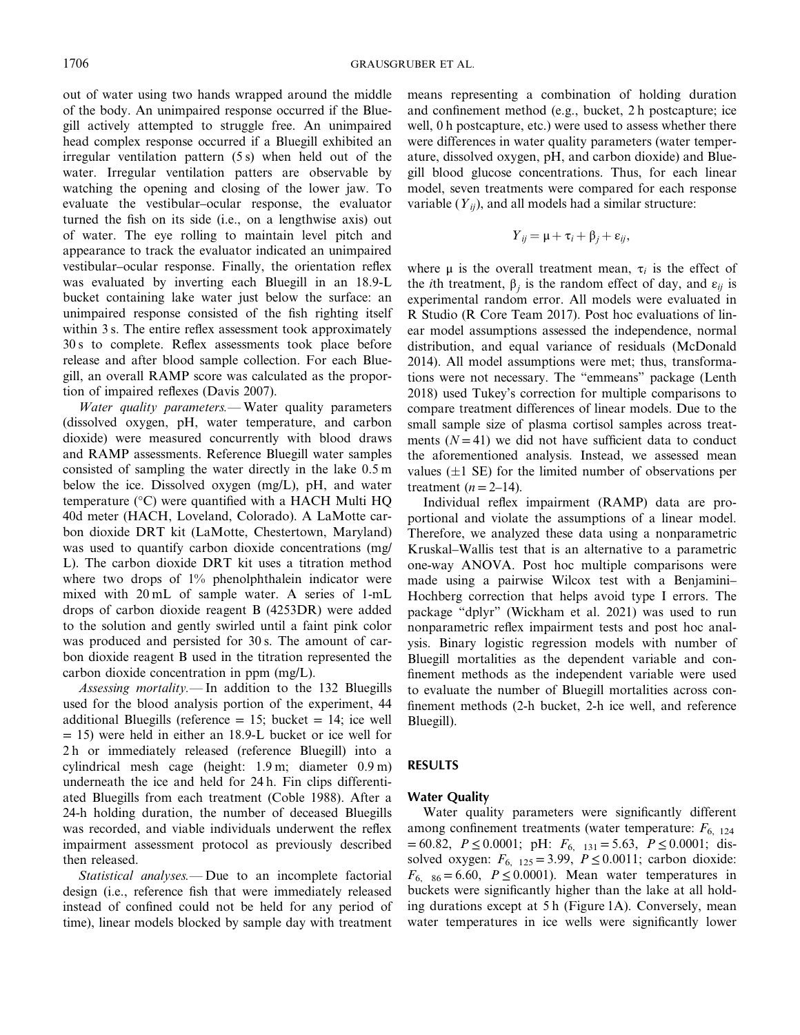out of water using two hands wrapped around the middle of the body. An unimpaired response occurred if the Bluegill actively attempted to struggle free. An unimpaired head complex response occurred if a Bluegill exhibited an irregular ventilation pattern (5 s) when held out of the water. Irregular ventilation patters are observable by watching the opening and closing of the lower jaw. To evaluate the vestibular–ocular response, the evaluator turned the fish on its side (i.e., on a lengthwise axis) out of water. The eye rolling to maintain level pitch and appearance to track the evaluator indicated an unimpaired vestibular–ocular response. Finally, the orientation reflex was evaluated by inverting each Bluegill in an 18.9-L bucket containing lake water just below the surface: an unimpaired response consisted of the fish righting itself within 3 s. The entire reflex assessment took approximately 30 s to complete. Reflex assessments took place before release and after blood sample collection. For each Bluegill, an overall RAMP score was calculated as the proportion of impaired reflexes (Davis 2007).

*Water quality parameters.—* Water quality parameters (dissolved oxygen, pH, water temperature, and carbon dioxide) were measured concurrently with blood draws and RAMP assessments. Reference Bluegill water samples consisted of sampling the water directly in the lake 0.5 m below the ice. Dissolved oxygen (mg/L), pH, and water temperature (°C) were quantified with a HACH Multi HQ 40d meter (HACH, Loveland, Colorado). A LaMotte carbon dioxide DRT kit (LaMotte, Chestertown, Maryland) was used to quantify carbon dioxide concentrations (mg/ L). The carbon dioxide DRT kit uses a titration method where two drops of 1% phenolphthalein indicator were mixed with 20 mL of sample water. A series of 1-mL drops of carbon dioxide reagent B (4253DR) were added to the solution and gently swirled until a faint pink color was produced and persisted for 30 s. The amount of carbon dioxide reagent B used in the titration represented the carbon dioxide concentration in ppm (mg/L).

*Assessing mortality.—* In addition to the 132 Bluegills used for the blood analysis portion of the experiment, 44 additional Bluegills (reference  $= 15$ ; bucket  $= 14$ ; ice well  $= 15$ ) were held in either an 18.9-L bucket or ice well for 2 h or immediately released (reference Bluegill) into a cylindrical mesh cage (height: 1.9 m; diameter 0.9 m) underneath the ice and held for 24 h. Fin clips differentiated Bluegills from each treatment (Coble 1988). After a 24-h holding duration, the number of deceased Bluegills was recorded, and viable individuals underwent the reflex impairment assessment protocol as previously described then released.

*Statistical analyses.—* Due to an incomplete factorial design (i.e., reference fish that were immediately released instead of confined could not be held for any period of time), linear models blocked by sample day with treatment means representing a combination of holding duration and confinement method (e.g., bucket, 2 h postcapture; ice well, 0 h postcapture, etc.) were used to assess whether there were differences in water quality parameters (water temperature, dissolved oxygen, pH, and carbon dioxide) and Bluegill blood glucose concentrations. Thus, for each linear model, seven treatments were compared for each response variable  $(Y_{ij})$ , and all models had a similar structure:

$$
Y_{ij} = \mu + \tau_i + \beta_j + \varepsilon_{ij},
$$

where  $\mu$  is the overall treatment mean,  $\tau_i$  is the effect of the *i*th treatment,  $β<sub>i</sub>$  is the random effect of day, and  $ε<sub>ii</sub>$  is experimental random error. All models were evaluated in R Studio (R Core Team 2017). Post hoc evaluations of linear model assumptions assessed the independence, normal distribution, and equal variance of residuals (McDonald 2014). All model assumptions were met; thus, transformations were not necessary. The "emmeans" package (Lenth 2018) used Tukey's correction for multiple comparisons to compare treatment differences of linear models. Due to the small sample size of plasma cortisol samples across treatments  $(N = 41)$  we did not have sufficient data to conduct the aforementioned analysis. Instead, we assessed mean values  $(\pm 1 \text{ SE})$  for the limited number of observations per treatment  $(n=2-14)$ .

Individual reflex impairment (RAMP) data are proportional and violate the assumptions of a linear model. Therefore, we analyzed these data using a nonparametric Kruskal–Wallis test that is an alternative to a parametric one-way ANOVA. Post hoc multiple comparisons were made using a pairwise Wilcox test with a Benjamini– Hochberg correction that helps avoid type I errors. The package "dplyr" (Wickham et al. 2021) was used to run nonparametric reflex impairment tests and post hoc analysis. Binary logistic regression models with number of Bluegill mortalities as the dependent variable and confinement methods as the independent variable were used to evaluate the number of Bluegill mortalities across confinement methods (2-h bucket, 2-h ice well, and reference Bluegill).

## **RESULTS**

## **Water Quality**

Water quality parameters were significantly different among confinement treatments (water temperature:  $F_{6, 124}$  $= 60.82, P \le 0.0001; \text{ pH: } F_{6, 131} = 5.63, P \le 0.0001; \text{ dis-}$ solved oxygen:  $F_{6, 125} = 3.99$ ,  $P \le 0.0011$ ; carbon dioxide:  $F_{6, 86} = 6.60$ ,  $P \le 0.0001$ ). Mean water temperatures in buckets were significantly higher than the lake at all holding durations except at 5 h (Figure 1A). Conversely, mean water temperatures in ice wells were significantly lower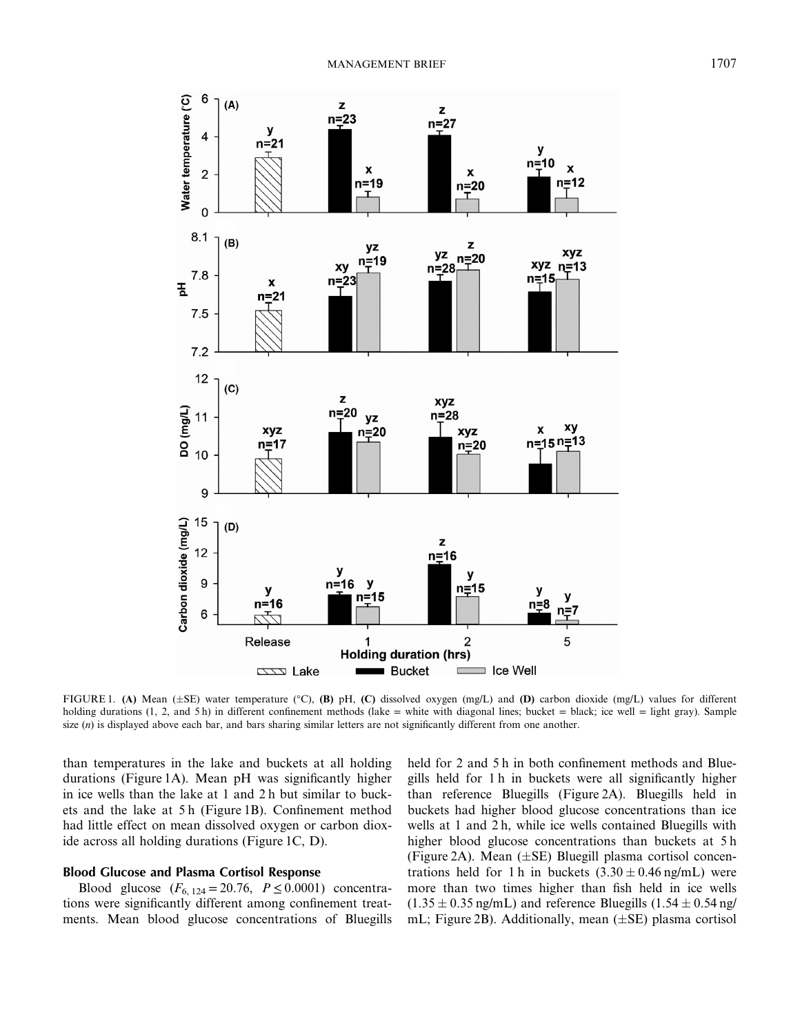

FIGURE 1. (A) Mean ( $\pm$ SE) water temperature (°C), (B) pH, (C) dissolved oxygen (mg/L) and (D) carbon dioxide (mg/L) values for different holding durations  $(1, 2,$  and  $5 h)$  in different confinement methods  $(lake = white with diagonal lines; bucket = black; ice well = light gray)$ . Sample size  $(n)$  is displayed above each bar, and bars sharing similar letters are not significantly different from one another.

than temperatures in the lake and buckets at all holding durations (Figure 1A). Mean pH was significantly higher in ice wells than the lake at 1 and 2 h but similar to buckets and the lake at 5 h (Figure 1B). Confinement method had little effect on mean dissolved oxygen or carbon dioxide across all holding durations (Figure 1C, D).

#### **Blood Glucose and Plasma Cortisol Response**

Blood glucose  $(F_{6, 124} = 20.76, P \le 0.0001)$  concentrations were significantly different among confinement treatments. Mean blood glucose concentrations of Bluegills held for 2 and 5 h in both confinement methods and Bluegills held for 1 h in buckets were all significantly higher than reference Bluegills (Figure 2A). Bluegills held in buckets had higher blood glucose concentrations than ice wells at 1 and 2 h, while ice wells contained Bluegills with higher blood glucose concentrations than buckets at 5 h (Figure 2A). Mean  $(\pm SE)$  Bluegill plasma cortisol concentrations held for 1 h in buckets  $(3.30 \pm 0.46 \text{ ng/mL})$  were more than two times higher than fish held in ice wells  $(1.35 \pm 0.35 \text{ ng/mL})$  and reference Bluegills  $(1.54 \pm 0.54 \text{ ng/m/L})$ mL; Figure 2B). Additionally, mean  $(\pm SE)$  plasma cortisol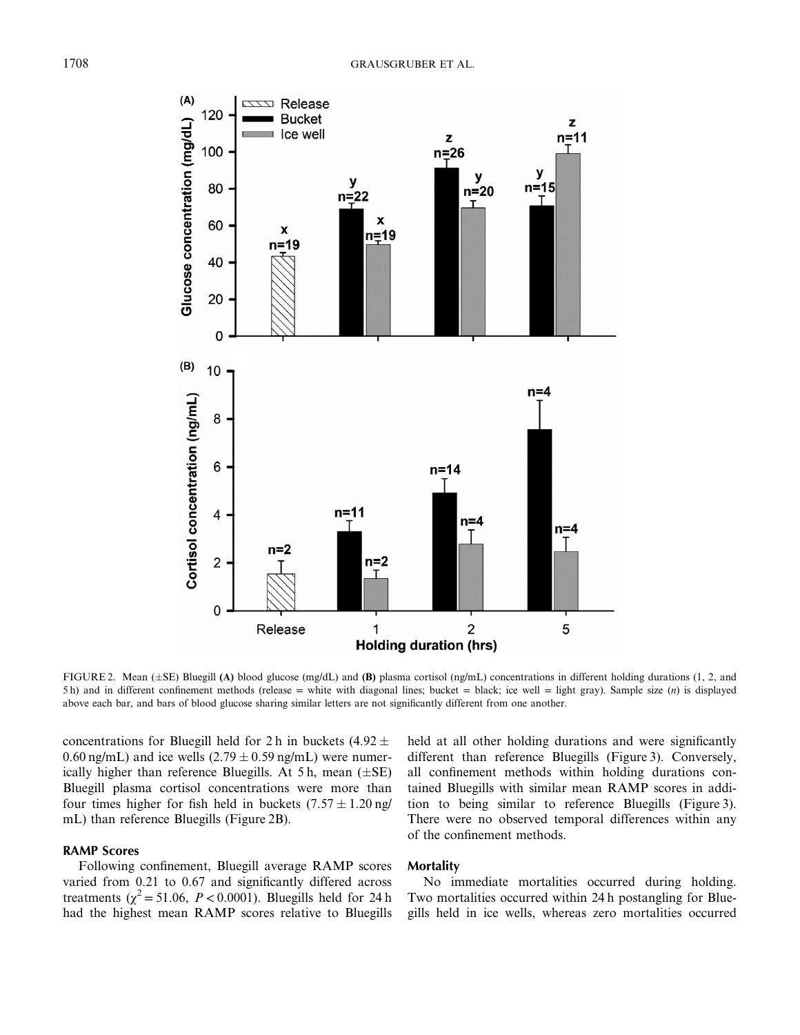

FIGURE 2. Mean ( $\pm$ SE) Bluegill (A) blood glucose (mg/dL) and (B) plasma cortisol (ng/mL) concentrations in different holding durations (1, 2, and 5 h) and in different confinement methods (release = white with diagonal lines; bucket = black; ice well = light gray). Sample size (*n*) is displayed above each bar, and bars of blood glucose sharing similar letters are not significantly different from one another.

concentrations for Bluegill held for 2 h in buckets  $(4.92 \pm 0.000)$ 0.60 ng/mL) and ice wells  $(2.79 \pm 0.59 \text{ ng/mL})$  were numerically higher than reference Bluegills. At 5 h, mean  $(\pm SE)$ Bluegill plasma cortisol concentrations were more than four times higher for fish held in buckets  $(7.57 \pm 1.20 \text{ ng/m})$ mL) than reference Bluegills (Figure 2B).

## **RAMP Scores**

Following confinement, Bluegill average RAMP scores varied from 0.21 to 0.67 and significantly differed across treatments ( $\chi^2$  = 51.06, *P* < 0.0001). Bluegills held for 24 h had the highest mean RAMP scores relative to Bluegills held at all other holding durations and were significantly different than reference Bluegills (Figure 3). Conversely, all confinement methods within holding durations contained Bluegills with similar mean RAMP scores in addition to being similar to reference Bluegills (Figure 3). There were no observed temporal differences within any of the confinement methods.

## **Mortality**

No immediate mortalities occurred during holding. Two mortalities occurred within 24 h postangling for Bluegills held in ice wells, whereas zero mortalities occurred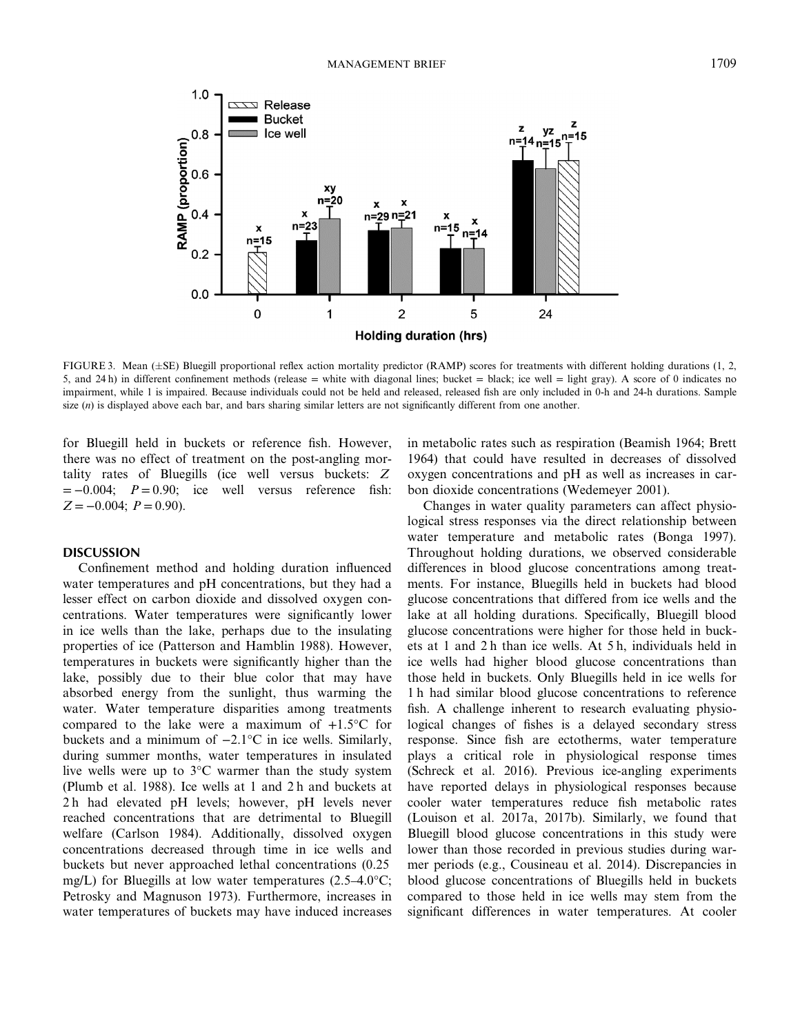

FIGURE 3. Mean (±SE) Bluegill proportional reflex action mortality predictor (RAMP) scores for treatments with different holding durations (1, 2, 5, and 24 h) in different confinement methods (release = white with diagonal lines; bucket = black; ice well = light gray). A score of 0 indicates no impairment, while 1 is impaired. Because individuals could not be held and released, released fish are only included in 0-h and 24-h durations. Sample size (*n*) is displayed above each bar, and bars sharing similar letters are not significantly different from one another.

for Bluegill held in buckets or reference fish. However, there was no effect of treatment on the post-angling mortality rates of Bluegills (ice well versus buckets: *Z*  $= -0.004$ ;  $P = 0.90$ ; ice well versus reference fish:  $Z = -0.004$ ;  $P = 0.90$ ).

# **DISCUSSION**

Confinement method and holding duration influenced water temperatures and pH concentrations, but they had a lesser effect on carbon dioxide and dissolved oxygen concentrations. Water temperatures were significantly lower in ice wells than the lake, perhaps due to the insulating properties of ice (Patterson and Hamblin 1988). However, temperatures in buckets were significantly higher than the lake, possibly due to their blue color that may have absorbed energy from the sunlight, thus warming the water. Water temperature disparities among treatments compared to the lake were a maximum of  $+1.5$ °C for buckets and a minimum of −2.1°C in ice wells. Similarly, during summer months, water temperatures in insulated live wells were up to 3°C warmer than the study system (Plumb et al. 1988). Ice wells at 1 and 2 h and buckets at 2 h had elevated pH levels; however, pH levels never reached concentrations that are detrimental to Bluegill welfare (Carlson 1984). Additionally, dissolved oxygen concentrations decreased through time in ice wells and buckets but never approached lethal concentrations (0.25 mg/L) for Bluegills at low water temperatures (2.5–4.0°C; Petrosky and Magnuson 1973). Furthermore, increases in water temperatures of buckets may have induced increases in metabolic rates such as respiration (Beamish 1964; Brett 1964) that could have resulted in decreases of dissolved oxygen concentrations and pH as well as increases in carbon dioxide concentrations (Wedemeyer 2001).

Changes in water quality parameters can affect physiological stress responses via the direct relationship between water temperature and metabolic rates (Bonga 1997). Throughout holding durations, we observed considerable differences in blood glucose concentrations among treatments. For instance, Bluegills held in buckets had blood glucose concentrations that differed from ice wells and the lake at all holding durations. Specifically, Bluegill blood glucose concentrations were higher for those held in buckets at 1 and 2 h than ice wells. At 5 h, individuals held in ice wells had higher blood glucose concentrations than those held in buckets. Only Bluegills held in ice wells for 1 h had similar blood glucose concentrations to reference fish. A challenge inherent to research evaluating physiological changes of fishes is a delayed secondary stress response. Since fish are ectotherms, water temperature plays a critical role in physiological response times (Schreck et al. 2016). Previous ice-angling experiments have reported delays in physiological responses because cooler water temperatures reduce fish metabolic rates (Louison et al. 2017a, 2017b). Similarly, we found that Bluegill blood glucose concentrations in this study were lower than those recorded in previous studies during warmer periods (e.g., Cousineau et al. 2014). Discrepancies in blood glucose concentrations of Bluegills held in buckets compared to those held in ice wells may stem from the significant differences in water temperatures. At cooler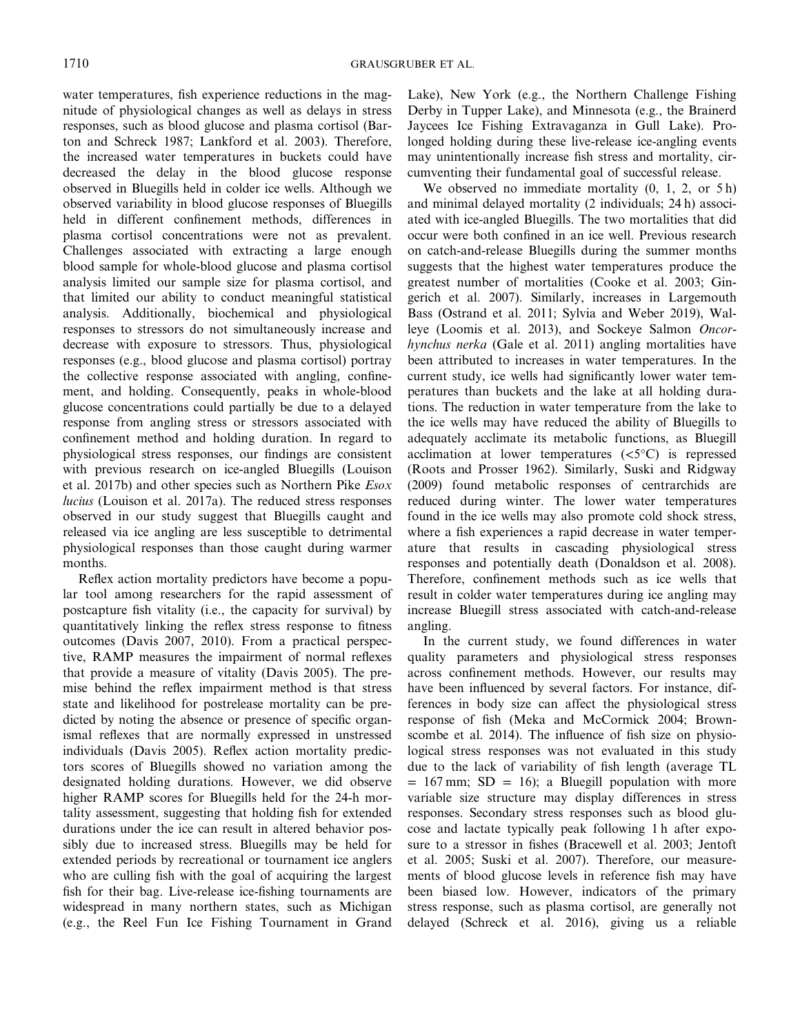water temperatures, fish experience reductions in the magnitude of physiological changes as well as delays in stress responses, such as blood glucose and plasma cortisol (Barton and Schreck 1987; Lankford et al. 2003). Therefore, the increased water temperatures in buckets could have decreased the delay in the blood glucose response observed in Bluegills held in colder ice wells. Although we observed variability in blood glucose responses of Bluegills held in different confinement methods, differences in plasma cortisol concentrations were not as prevalent. Challenges associated with extracting a large enough blood sample for whole-blood glucose and plasma cortisol analysis limited our sample size for plasma cortisol, and that limited our ability to conduct meaningful statistical analysis. Additionally, biochemical and physiological responses to stressors do not simultaneously increase and decrease with exposure to stressors. Thus, physiological responses (e.g., blood glucose and plasma cortisol) portray the collective response associated with angling, confinement, and holding. Consequently, peaks in whole-blood glucose concentrations could partially be due to a delayed response from angling stress or stressors associated with confinement method and holding duration. In regard to physiological stress responses, our findings are consistent with previous research on ice-angled Bluegills (Louison et al. 2017b) and other species such as Northern Pike *Esox lucius* (Louison et al. 2017a). The reduced stress responses observed in our study suggest that Bluegills caught and released via ice angling are less susceptible to detrimental physiological responses than those caught during warmer months.

Reflex action mortality predictors have become a popular tool among researchers for the rapid assessment of postcapture fish vitality (i.e., the capacity for survival) by quantitatively linking the reflex stress response to fitness outcomes (Davis 2007, 2010). From a practical perspective, RAMP measures the impairment of normal reflexes that provide a measure of vitality (Davis 2005). The premise behind the reflex impairment method is that stress state and likelihood for postrelease mortality can be predicted by noting the absence or presence of specific organismal reflexes that are normally expressed in unstressed individuals (Davis 2005). Reflex action mortality predictors scores of Bluegills showed no variation among the designated holding durations. However, we did observe higher RAMP scores for Bluegills held for the 24-h mortality assessment, suggesting that holding fish for extended durations under the ice can result in altered behavior possibly due to increased stress. Bluegills may be held for extended periods by recreational or tournament ice anglers who are culling fish with the goal of acquiring the largest fish for their bag. Live-release ice-fishing tournaments are widespread in many northern states, such as Michigan (e.g., the Reel Fun Ice Fishing Tournament in Grand

Lake), New York (e.g., the Northern Challenge Fishing Derby in Tupper Lake), and Minnesota (e.g., the Brainerd Jaycees Ice Fishing Extravaganza in Gull Lake). Prolonged holding during these live-release ice-angling events may unintentionally increase fish stress and mortality, circumventing their fundamental goal of successful release.

We observed no immediate mortality  $(0, 1, 2, \text{ or } 5 \text{ h})$ and minimal delayed mortality (2 individuals; 24 h) associated with ice-angled Bluegills. The two mortalities that did occur were both confined in an ice well. Previous research on catch-and-release Bluegills during the summer months suggests that the highest water temperatures produce the greatest number of mortalities (Cooke et al. 2003; Gingerich et al. 2007). Similarly, increases in Largemouth Bass (Ostrand et al. 2011; Sylvia and Weber 2019), Walleye (Loomis et al. 2013), and Sockeye Salmon *Oncorhynchus nerka* (Gale et al. 2011) angling mortalities have been attributed to increases in water temperatures. In the current study, ice wells had significantly lower water temperatures than buckets and the lake at all holding durations. The reduction in water temperature from the lake to the ice wells may have reduced the ability of Bluegills to adequately acclimate its metabolic functions, as Bluegill acclimation at lower temperatures  $( $5^{\circ}$ C)$  is repressed (Roots and Prosser 1962). Similarly, Suski and Ridgway (2009) found metabolic responses of centrarchids are reduced during winter. The lower water temperatures found in the ice wells may also promote cold shock stress, where a fish experiences a rapid decrease in water temperature that results in cascading physiological stress responses and potentially death (Donaldson et al. 2008). Therefore, confinement methods such as ice wells that result in colder water temperatures during ice angling may increase Bluegill stress associated with catch-and-release angling.

In the current study, we found differences in water quality parameters and physiological stress responses across confinement methods. However, our results may have been influenced by several factors. For instance, differences in body size can affect the physiological stress response of fish (Meka and McCormick 2004; Brownscombe et al. 2014). The influence of fish size on physiological stress responses was not evaluated in this study due to the lack of variability of fish length (average TL  $= 167$  mm; SD  $= 16$ ; a Bluegill population with more variable size structure may display differences in stress responses. Secondary stress responses such as blood glucose and lactate typically peak following 1 h after exposure to a stressor in fishes (Bracewell et al. 2003; Jentoft et al. 2005; Suski et al. 2007). Therefore, our measurements of blood glucose levels in reference fish may have been biased low. However, indicators of the primary stress response, such as plasma cortisol, are generally not delayed (Schreck et al. 2016), giving us a reliable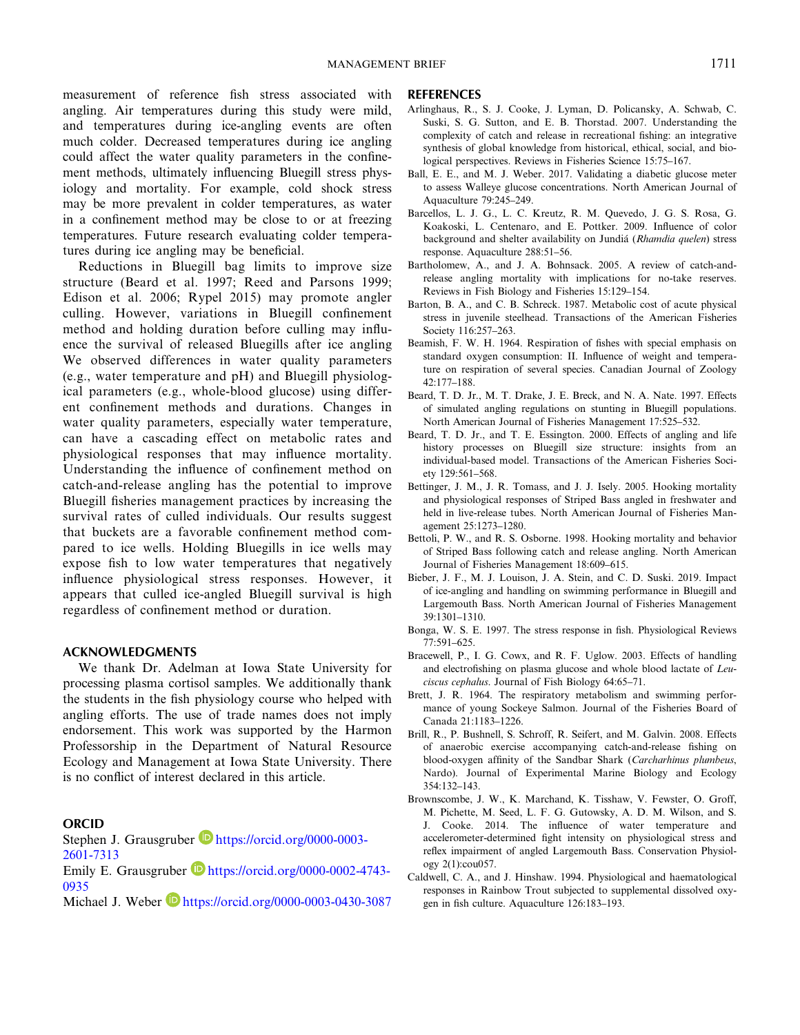measurement of reference fish stress associated with angling. Air temperatures during this study were mild, and temperatures during ice-angling events are often much colder. Decreased temperatures during ice angling could affect the water quality parameters in the confinement methods, ultimately influencing Bluegill stress physiology and mortality. For example, cold shock stress may be more prevalent in colder temperatures, as water in a confinement method may be close to or at freezing temperatures. Future research evaluating colder temperatures during ice angling may be beneficial.

Reductions in Bluegill bag limits to improve size structure (Beard et al. 1997; Reed and Parsons 1999; Edison et al. 2006; Rypel 2015) may promote angler culling. However, variations in Bluegill confinement method and holding duration before culling may influence the survival of released Bluegills after ice angling We observed differences in water quality parameters (e.g., water temperature and pH) and Bluegill physiological parameters (e.g., whole-blood glucose) using different confinement methods and durations. Changes in water quality parameters, especially water temperature, can have a cascading effect on metabolic rates and physiological responses that may influence mortality. Understanding the influence of confinement method on catch-and-release angling has the potential to improve Bluegill fisheries management practices by increasing the survival rates of culled individuals. Our results suggest that buckets are a favorable confinement method compared to ice wells. Holding Bluegills in ice wells may expose fish to low water temperatures that negatively influence physiological stress responses. However, it appears that culled ice-angled Bluegill survival is high regardless of confinement method or duration.

## **ACKNOWLEDGMENTS**

We thank Dr. Adelman at Iowa State University for processing plasma cortisol samples. We additionally thank the students in the fish physiology course who helped with angling efforts. The use of trade names does not imply endorsement. This work was supported by the Harmon Professorship in the Department of Natural Resource Ecology and Management at Iowa State University. There is no conflict of interest declared in this article.

#### **ORCID**

Stephen J. Grausgruber **https://orcid.org/0000-0003-**2601-7313

Emily E. Grausgruber **b** https://orcid.org/0000-0002-4743-0935

Michael J. Weber **https://orcid.org/0000-0003-0430-3087** 

### **REFERENCES**

- Arlinghaus, R., S. J. Cooke, J. Lyman, D. Policansky, A. Schwab, C. Suski, S. G. Sutton, and E. B. Thorstad. 2007. Understanding the complexity of catch and release in recreational fishing: an integrative synthesis of global knowledge from historical, ethical, social, and biological perspectives. Reviews in Fisheries Science 15:75–167.
- Ball, E. E., and M. J. Weber. 2017. Validating a diabetic glucose meter to assess Walleye glucose concentrations. North American Journal of Aquaculture 79:245–249.
- Barcellos, L. J. G., L. C. Kreutz, R. M. Quevedo, J. G. S. Rosa, G. Koakoski, L. Centenaro, and E. Pottker. 2009. Influence of color background and shelter availability on Jundiá (*Rhamdia quelen*) stress response. Aquaculture 288:51–56.
- Bartholomew, A., and J. A. Bohnsack. 2005. A review of catch-andrelease angling mortality with implications for no-take reserves. Reviews in Fish Biology and Fisheries 15:129–154.
- Barton, B. A., and C. B. Schreck. 1987. Metabolic cost of acute physical stress in juvenile steelhead. Transactions of the American Fisheries Society 116:257–263.
- Beamish, F. W. H. 1964. Respiration of fishes with special emphasis on standard oxygen consumption: II. Influence of weight and temperature on respiration of several species. Canadian Journal of Zoology 42:177–188.
- Beard, T. D. Jr., M. T. Drake, J. E. Breck, and N. A. Nate. 1997. Effects of simulated angling regulations on stunting in Bluegill populations. North American Journal of Fisheries Management 17:525–532.
- Beard, T. D. Jr., and T. E. Essington. 2000. Effects of angling and life history processes on Bluegill size structure: insights from an individual-based model. Transactions of the American Fisheries Society 129:561–568.
- Bettinger, J. M., J. R. Tomass, and J. J. Isely. 2005. Hooking mortality and physiological responses of Striped Bass angled in freshwater and held in live-release tubes. North American Journal of Fisheries Management 25:1273–1280.
- Bettoli, P. W., and R. S. Osborne. 1998. Hooking mortality and behavior of Striped Bass following catch and release angling. North American Journal of Fisheries Management 18:609–615.
- Bieber, J. F., M. J. Louison, J. A. Stein, and C. D. Suski. 2019. Impact of ice-angling and handling on swimming performance in Bluegill and Largemouth Bass. North American Journal of Fisheries Management 39:1301–1310.
- Bonga, W. S. E. 1997. The stress response in fish. Physiological Reviews 77:591–625.
- Bracewell, P., I. G. Cowx, and R. F. Uglow. 2003. Effects of handling and electrofishing on plasma glucose and whole blood lactate of *Leuciscus cephalus*. Journal of Fish Biology 64:65–71.
- Brett, J. R. 1964. The respiratory metabolism and swimming performance of young Sockeye Salmon. Journal of the Fisheries Board of Canada 21:1183–1226.
- Brill, R., P. Bushnell, S. Schroff, R. Seifert, and M. Galvin. 2008. Effects of anaerobic exercise accompanying catch-and-release fishing on blood-oxygen affinity of the Sandbar Shark (*Carcharhinus plumbeus*, Nardo). Journal of Experimental Marine Biology and Ecology 354:132–143.
- Brownscombe, J. W., K. Marchand, K. Tisshaw, V. Fewster, O. Groff, M. Pichette, M. Seed, L. F. G. Gutowsky, A. D. M. Wilson, and S. J. Cooke. 2014. The influence of water temperature and accelerometer-determined fight intensity on physiological stress and reflex impairment of angled Largemouth Bass. Conservation Physiology 2(1):cou057.
- Caldwell, C. A., and J. Hinshaw. 1994. Physiological and haematological responses in Rainbow Trout subjected to supplemental dissolved oxygen in fish culture. Aquaculture 126:183–193.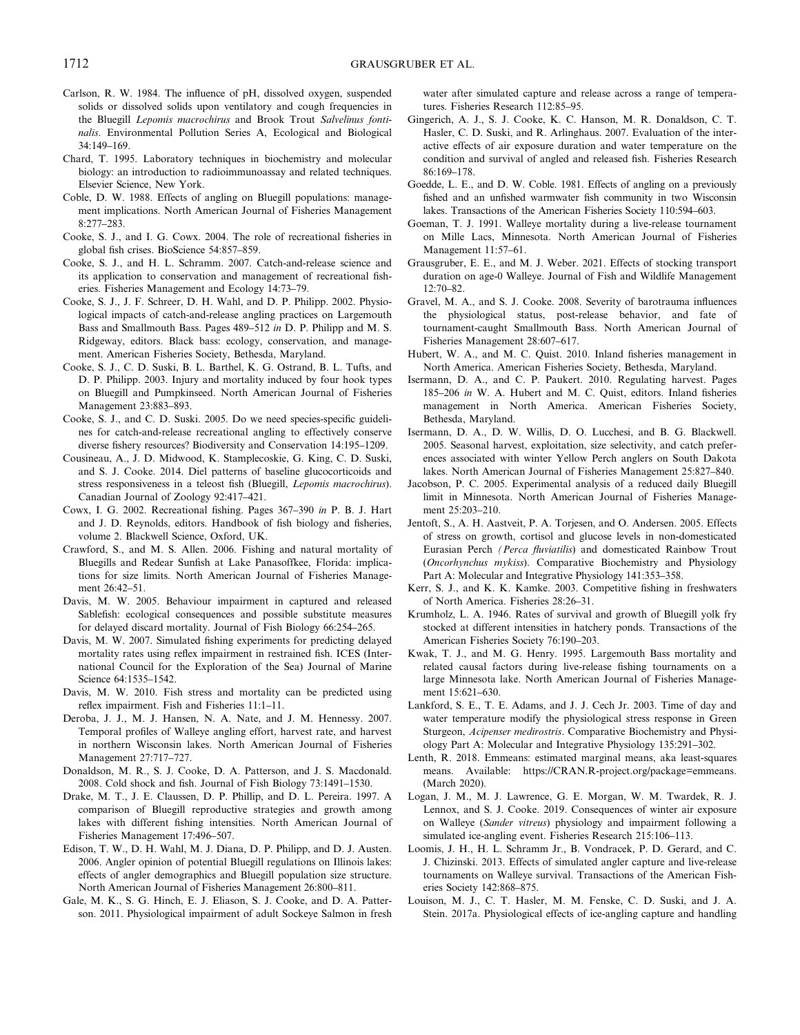- Carlson, R. W. 1984. The influence of pH, dissolved oxygen, suspended solids or dissolved solids upon ventilatory and cough frequencies in the Bluegill *Lepomis macrochirus* and Brook Trout *Salvelinus fontinalis*. Environmental Pollution Series A, Ecological and Biological 34:149–169.
- Chard, T. 1995. Laboratory techniques in biochemistry and molecular biology: an introduction to radioimmunoassay and related techniques. Elsevier Science, New York.
- Coble, D. W. 1988. Effects of angling on Bluegill populations: management implications. North American Journal of Fisheries Management 8:277–283.
- Cooke, S. J., and I. G. Cowx. 2004. The role of recreational fisheries in global fish crises. BioScience 54:857–859.
- Cooke, S. J., and H. L. Schramm. 2007. Catch-and-release science and its application to conservation and management of recreational fisheries. Fisheries Management and Ecology 14:73–79.
- Cooke, S. J., J. F. Schreer, D. H. Wahl, and D. P. Philipp. 2002. Physiological impacts of catch-and-release angling practices on Largemouth Bass and Smallmouth Bass. Pages 489–512 *in* D. P. Philipp and M. S. Ridgeway, editors. Black bass: ecology, conservation, and management. American Fisheries Society, Bethesda, Maryland.
- Cooke, S. J., C. D. Suski, B. L. Barthel, K. G. Ostrand, B. L. Tufts, and D. P. Philipp. 2003. Injury and mortality induced by four hook types on Bluegill and Pumpkinseed. North American Journal of Fisheries Management 23:883–893.
- Cooke, S. J., and C. D. Suski. 2005. Do we need species-specific guidelines for catch-and-release recreational angling to effectively conserve diverse fishery resources? Biodiversity and Conservation 14:195–1209.
- Cousineau, A., J. D. Midwood, K. Stamplecoskie, G. King, C. D. Suski, and S. J. Cooke. 2014. Diel patterns of baseline glucocorticoids and stress responsiveness in a teleost fish (Bluegill, *Lepomis macrochirus*). Canadian Journal of Zoology 92:417–421.
- Cowx, I. G. 2002. Recreational fishing. Pages 367–390 *in* P. B. J. Hart and J. D. Reynolds, editors. Handbook of fish biology and fisheries, volume 2. Blackwell Science, Oxford, UK.
- Crawford, S., and M. S. Allen. 2006. Fishing and natural mortality of Bluegills and Redear Sunfish at Lake Panasoffkee, Florida: implications for size limits. North American Journal of Fisheries Management 26:42–51.
- Davis, M. W. 2005. Behaviour impairment in captured and released Sablefish: ecological consequences and possible substitute measures for delayed discard mortality. Journal of Fish Biology 66:254–265.
- Davis, M. W. 2007. Simulated fishing experiments for predicting delayed mortality rates using reflex impairment in restrained fish. ICES (International Council for the Exploration of the Sea) Journal of Marine Science 64:1535–1542.
- Davis, M. W. 2010. Fish stress and mortality can be predicted using reflex impairment. Fish and Fisheries 11:1–11.
- Deroba, J. J., M. J. Hansen, N. A. Nate, and J. M. Hennessy. 2007. Temporal profiles of Walleye angling effort, harvest rate, and harvest in northern Wisconsin lakes. North American Journal of Fisheries Management 27:717–727.
- Donaldson, M. R., S. J. Cooke, D. A. Patterson, and J. S. Macdonald. 2008. Cold shock and fish. Journal of Fish Biology 73:1491–1530.
- Drake, M. T., J. E. Claussen, D. P. Phillip, and D. L. Pereira. 1997. A comparison of Bluegill reproductive strategies and growth among lakes with different fishing intensities. North American Journal of Fisheries Management 17:496–507.
- Edison, T. W., D. H. Wahl, M. J. Diana, D. P. Philipp, and D. J. Austen. 2006. Angler opinion of potential Bluegill regulations on Illinois lakes: effects of angler demographics and Bluegill population size structure. North American Journal of Fisheries Management 26:800–811.
- Gale, M. K., S. G. Hinch, E. J. Eliason, S. J. Cooke, and D. A. Patterson. 2011. Physiological impairment of adult Sockeye Salmon in fresh

water after simulated capture and release across a range of temperatures. Fisheries Research 112:85–95.

- Gingerich, A. J., S. J. Cooke, K. C. Hanson, M. R. Donaldson, C. T. Hasler, C. D. Suski, and R. Arlinghaus. 2007. Evaluation of the interactive effects of air exposure duration and water temperature on the condition and survival of angled and released fish. Fisheries Research 86:169–178.
- Goedde, L. E., and D. W. Coble. 1981. Effects of angling on a previously fished and an unfished warmwater fish community in two Wisconsin lakes. Transactions of the American Fisheries Society 110:594–603.
- Goeman, T. J. 1991. Walleye mortality during a live-release tournament on Mille Lacs, Minnesota. North American Journal of Fisheries Management 11:57–61.
- Grausgruber, E. E., and M. J. Weber. 2021. Effects of stocking transport duration on age-0 Walleye. Journal of Fish and Wildlife Management 12:70–82.
- Gravel, M. A., and S. J. Cooke. 2008. Severity of barotrauma influences the physiological status, post-release behavior, and fate of tournament-caught Smallmouth Bass. North American Journal of Fisheries Management 28:607–617.
- Hubert, W. A., and M. C. Quist. 2010. Inland fisheries management in North America. American Fisheries Society, Bethesda, Maryland.
- Isermann, D. A., and C. P. Paukert. 2010. Regulating harvest. Pages 185–206 *in* W. A. Hubert and M. C. Quist, editors. Inland fisheries management in North America. American Fisheries Society, Bethesda, Maryland.
- Isermann, D. A., D. W. Willis, D. O. Lucchesi, and B. G. Blackwell. 2005. Seasonal harvest, exploitation, size selectivity, and catch preferences associated with winter Yellow Perch anglers on South Dakota lakes. North American Journal of Fisheries Management 25:827–840.
- Jacobson, P. C. 2005. Experimental analysis of a reduced daily Bluegill limit in Minnesota. North American Journal of Fisheries Management 25:203–210.
- Jentoft, S., A. H. Aastveit, P. A. Torjesen, and O. Andersen. 2005. Effects of stress on growth, cortisol and glucose levels in non-domesticated Eurasian Perch *(Perca fluviatilis*) and domesticated Rainbow Trout (*Oncorhynchus mykiss*). Comparative Biochemistry and Physiology Part A: Molecular and Integrative Physiology 141:353–358.
- Kerr, S. J., and K. K. Kamke. 2003. Competitive fishing in freshwaters of North America. Fisheries 28:26–31.
- Krumholz, L. A. 1946. Rates of survival and growth of Bluegill yolk fry stocked at different intensities in hatchery ponds. Transactions of the American Fisheries Society 76:190–203.
- Kwak, T. J., and M. G. Henry. 1995. Largemouth Bass mortality and related causal factors during live-release fishing tournaments on a large Minnesota lake. North American Journal of Fisheries Management 15:621–630.
- Lankford, S. E., T. E. Adams, and J. J. Cech Jr. 2003. Time of day and water temperature modify the physiological stress response in Green Sturgeon, *Acipenser medirostris*. Comparative Biochemistry and Physiology Part A: Molecular and Integrative Physiology 135:291–302.
- Lenth, R. 2018. Emmeans: estimated marginal means, aka least-squares means. Available[: https://CRAN.R-project.org/package=emmeans.](: https://CRAN.R-project.org/package=emmeans. (March 2020).) [\(March 2020\)](: https://CRAN.R-project.org/package=emmeans. (March 2020).).
- Logan, J. M., M. J. Lawrence, G. E. Morgan, W. M. Twardek, R. J. Lennox, and S. J. Cooke. 2019. Consequences of winter air exposure on Walleye (*Sander vitreus*) physiology and impairment following a simulated ice-angling event. Fisheries Research 215:106–113.
- Loomis, J. H., H. L. Schramm Jr., B. Vondracek, P. D. Gerard, and C. J. Chizinski. 2013. Effects of simulated angler capture and live-release tournaments on Walleye survival. Transactions of the American Fisheries Society 142:868–875.
- Louison, M. J., C. T. Hasler, M. M. Fenske, C. D. Suski, and J. A. Stein. 2017a. Physiological effects of ice-angling capture and handling